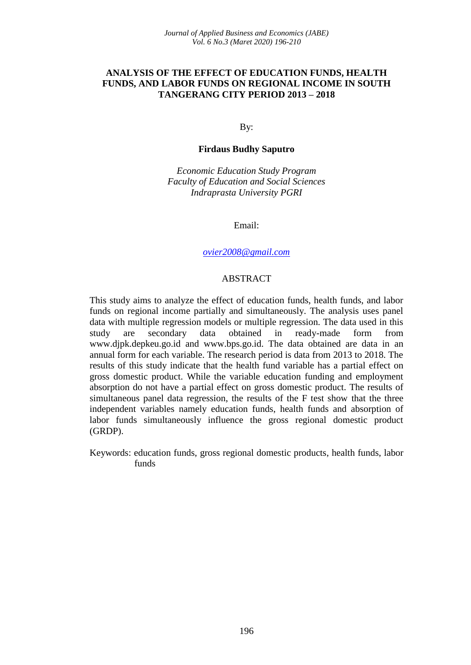## **ANALYSIS OF THE EFFECT OF EDUCATION FUNDS, HEALTH FUNDS, AND LABOR FUNDS ON REGIONAL INCOME IN SOUTH TANGERANG CITY PERIOD 2013 – 2018**

By:

#### **Firdaus Budhy Saputro**

*Economic Education Study Program Faculty of Education and Social Sciences Indraprasta University PGRI*

Email:

*[ovier2008@gmail.com](mailto:ovier2008@gmail.com)*

#### ABSTRACT

This study aims to analyze the effect of education funds, health funds, and labor funds on regional income partially and simultaneously. The analysis uses panel data with multiple regression models or multiple regression. The data used in this study are secondary data obtained in ready-made form from www.djpk.depkeu.go.id and www.bps.go.id. The data obtained are data in an annual form for each variable. The research period is data from 2013 to 2018. The results of this study indicate that the health fund variable has a partial effect on gross domestic product. While the variable education funding and employment absorption do not have a partial effect on gross domestic product. The results of simultaneous panel data regression, the results of the F test show that the three independent variables namely education funds, health funds and absorption of labor funds simultaneously influence the gross regional domestic product (GRDP).

Keywords: education funds, gross regional domestic products, health funds, labor funds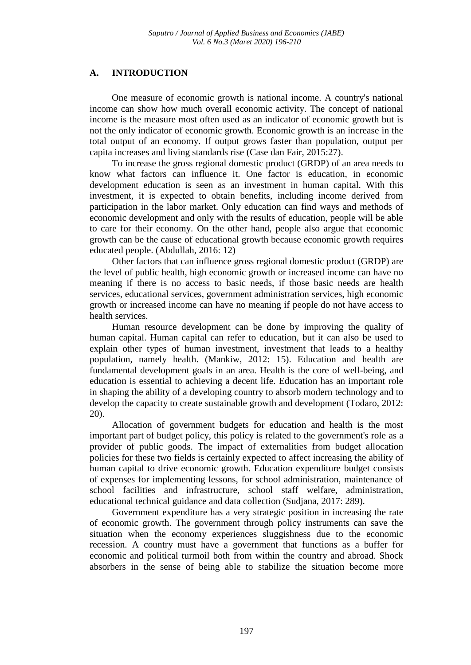# **A. INTRODUCTION**

One measure of economic growth is national income. A country's national income can show how much overall economic activity. The concept of national income is the measure most often used as an indicator of economic growth but is not the only indicator of economic growth. Economic growth is an increase in the total output of an economy. If output grows faster than population, output per capita increases and living standards rise (Case dan Fair, 2015:27).

To increase the gross regional domestic product (GRDP) of an area needs to know what factors can influence it. One factor is education, in economic development education is seen as an investment in human capital. With this investment, it is expected to obtain benefits, including income derived from participation in the labor market. Only education can find ways and methods of economic development and only with the results of education, people will be able to care for their economy. On the other hand, people also argue that economic growth can be the cause of educational growth because economic growth requires educated people. (Abdullah, 2016: 12)

Other factors that can influence gross regional domestic product (GRDP) are the level of public health, high economic growth or increased income can have no meaning if there is no access to basic needs, if those basic needs are health services, educational services, government administration services, high economic growth or increased income can have no meaning if people do not have access to health services.

Human resource development can be done by improving the quality of human capital. Human capital can refer to education, but it can also be used to explain other types of human investment, investment that leads to a healthy population, namely health. (Mankiw, 2012: 15). Education and health are fundamental development goals in an area. Health is the core of well-being, and education is essential to achieving a decent life. Education has an important role in shaping the ability of a developing country to absorb modern technology and to develop the capacity to create sustainable growth and development (Todaro, 2012: 20).

Allocation of government budgets for education and health is the most important part of budget policy, this policy is related to the government's role as a provider of public goods. The impact of externalities from budget allocation policies for these two fields is certainly expected to affect increasing the ability of human capital to drive economic growth. Education expenditure budget consists of expenses for implementing lessons, for school administration, maintenance of school facilities and infrastructure, school staff welfare, administration, educational technical guidance and data collection (Sudjana, 2017: 289).

Government expenditure has a very strategic position in increasing the rate of economic growth. The government through policy instruments can save the situation when the economy experiences sluggishness due to the economic recession. A country must have a government that functions as a buffer for economic and political turmoil both from within the country and abroad. Shock absorbers in the sense of being able to stabilize the situation become more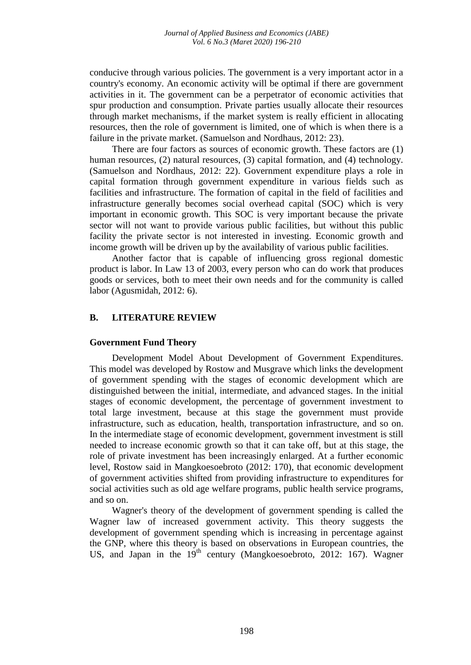conducive through various policies. The government is a very important actor in a country's economy. An economic activity will be optimal if there are government activities in it. The government can be a perpetrator of economic activities that spur production and consumption. Private parties usually allocate their resources through market mechanisms, if the market system is really efficient in allocating resources, then the role of government is limited, one of which is when there is a failure in the private market. (Samuelson and Nordhaus, 2012: 23).

There are four factors as sources of economic growth. These factors are (1) human resources, (2) natural resources, (3) capital formation, and (4) technology. (Samuelson and Nordhaus, 2012: 22). Government expenditure plays a role in capital formation through government expenditure in various fields such as facilities and infrastructure. The formation of capital in the field of facilities and infrastructure generally becomes social overhead capital (SOC) which is very important in economic growth. This SOC is very important because the private sector will not want to provide various public facilities, but without this public facility the private sector is not interested in investing. Economic growth and income growth will be driven up by the availability of various public facilities.

Another factor that is capable of influencing gross regional domestic product is labor. In Law 13 of 2003, every person who can do work that produces goods or services, both to meet their own needs and for the community is called labor (Agusmidah, 2012: 6).

## **B. LITERATURE REVIEW**

#### **Government Fund Theory**

Development Model About Development of Government Expenditures. This model was developed by Rostow and Musgrave which links the development of government spending with the stages of economic development which are distinguished between the initial, intermediate, and advanced stages. In the initial stages of economic development, the percentage of government investment to total large investment, because at this stage the government must provide infrastructure, such as education, health, transportation infrastructure, and so on. In the intermediate stage of economic development, government investment is still needed to increase economic growth so that it can take off, but at this stage, the role of private investment has been increasingly enlarged. At a further economic level, Rostow said in Mangkoesoebroto (2012: 170), that economic development of government activities shifted from providing infrastructure to expenditures for social activities such as old age welfare programs, public health service programs, and so on.

Wagner's theory of the development of government spending is called the Wagner law of increased government activity. This theory suggests the development of government spending which is increasing in percentage against the GNP, where this theory is based on observations in European countries, the US, and Japan in the  $19^{th}$  century (Mangkoesoebroto, 2012: 167). Wagner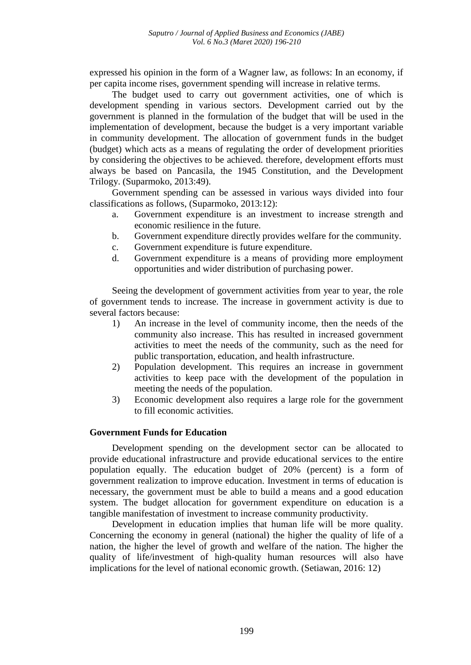expressed his opinion in the form of a Wagner law, as follows: In an economy, if per capita income rises, government spending will increase in relative terms.

The budget used to carry out government activities, one of which is development spending in various sectors. Development carried out by the government is planned in the formulation of the budget that will be used in the implementation of development, because the budget is a very important variable in community development. The allocation of government funds in the budget (budget) which acts as a means of regulating the order of development priorities by considering the objectives to be achieved. therefore, development efforts must always be based on Pancasila, the 1945 Constitution, and the Development Trilogy. (Suparmoko, 2013:49).

Government spending can be assessed in various ways divided into four classifications as follows, (Suparmoko, 2013:12):

- a. Government expenditure is an investment to increase strength and economic resilience in the future.
- b. Government expenditure directly provides welfare for the community.
- c. Government expenditure is future expenditure.
- d. Government expenditure is a means of providing more employment opportunities and wider distribution of purchasing power.

Seeing the development of government activities from year to year, the role of government tends to increase. The increase in government activity is due to several factors because:

- 1) An increase in the level of community income, then the needs of the community also increase. This has resulted in increased government activities to meet the needs of the community, such as the need for public transportation, education, and health infrastructure.
- 2) Population development. This requires an increase in government activities to keep pace with the development of the population in meeting the needs of the population.
- 3) Economic development also requires a large role for the government to fill economic activities.

## **Government Funds for Education**

Development spending on the development sector can be allocated to provide educational infrastructure and provide educational services to the entire population equally. The education budget of 20% (percent) is a form of government realization to improve education. Investment in terms of education is necessary, the government must be able to build a means and a good education system. The budget allocation for government expenditure on education is a tangible manifestation of investment to increase community productivity.

Development in education implies that human life will be more quality. Concerning the economy in general (national) the higher the quality of life of a nation, the higher the level of growth and welfare of the nation. The higher the quality of life/investment of high-quality human resources will also have implications for the level of national economic growth. (Setiawan, 2016: 12)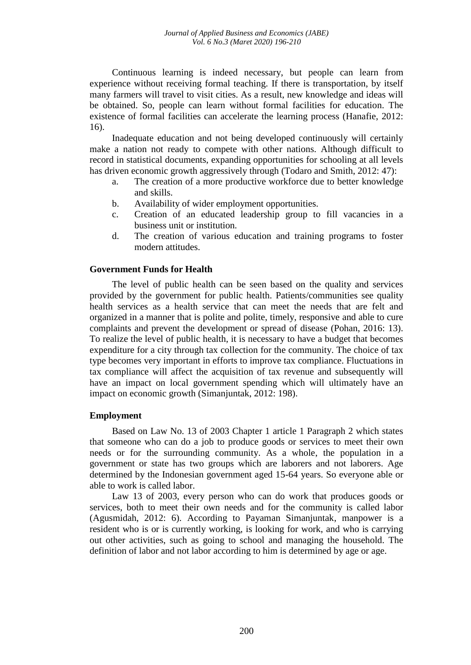Continuous learning is indeed necessary, but people can learn from experience without receiving formal teaching. If there is transportation, by itself many farmers will travel to visit cities. As a result, new knowledge and ideas will be obtained. So, people can learn without formal facilities for education. The existence of formal facilities can accelerate the learning process (Hanafie, 2012: 16).

Inadequate education and not being developed continuously will certainly make a nation not ready to compete with other nations. Although difficult to record in statistical documents, expanding opportunities for schooling at all levels has driven economic growth aggressively through (Todaro and Smith, 2012: 47):

- a. The creation of a more productive workforce due to better knowledge and skills.
- b. Availability of wider employment opportunities.
- c. Creation of an educated leadership group to fill vacancies in a business unit or institution.
- d. The creation of various education and training programs to foster modern attitudes.

## **Government Funds for Health**

The level of public health can be seen based on the quality and services provided by the government for public health. Patients/communities see quality health services as a health service that can meet the needs that are felt and organized in a manner that is polite and polite, timely, responsive and able to cure complaints and prevent the development or spread of disease (Pohan, 2016: 13). To realize the level of public health, it is necessary to have a budget that becomes expenditure for a city through tax collection for the community. The choice of tax type becomes very important in efforts to improve tax compliance. Fluctuations in tax compliance will affect the acquisition of tax revenue and subsequently will have an impact on local government spending which will ultimately have an impact on economic growth (Simanjuntak, 2012: 198).

## **Employment**

Based on Law No. 13 of 2003 Chapter 1 article 1 Paragraph 2 which states that someone who can do a job to produce goods or services to meet their own needs or for the surrounding community. As a whole, the population in a government or state has two groups which are laborers and not laborers. Age determined by the Indonesian government aged 15-64 years. So everyone able or able to work is called labor.

Law 13 of 2003, every person who can do work that produces goods or services, both to meet their own needs and for the community is called labor (Agusmidah, 2012: 6). According to Payaman Simanjuntak, manpower is a resident who is or is currently working, is looking for work, and who is carrying out other activities, such as going to school and managing the household. The definition of labor and not labor according to him is determined by age or age.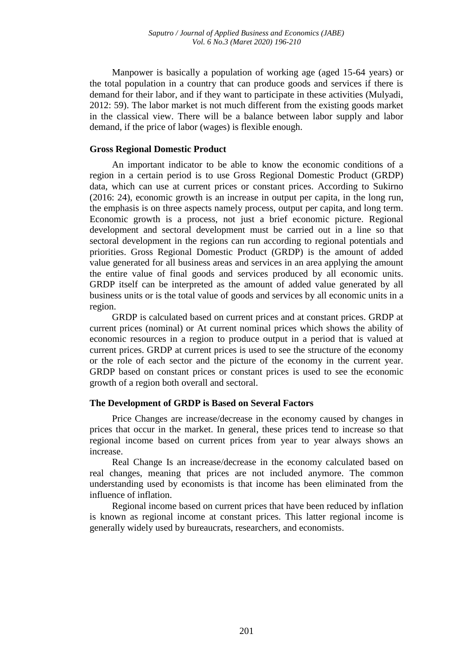Manpower is basically a population of working age (aged 15-64 years) or the total population in a country that can produce goods and services if there is demand for their labor, and if they want to participate in these activities (Mulyadi, 2012: 59). The labor market is not much different from the existing goods market in the classical view. There will be a balance between labor supply and labor demand, if the price of labor (wages) is flexible enough.

## **Gross Regional Domestic Product**

An important indicator to be able to know the economic conditions of a region in a certain period is to use Gross Regional Domestic Product (GRDP) data, which can use at current prices or constant prices. According to Sukirno (2016: 24), economic growth is an increase in output per capita, in the long run, the emphasis is on three aspects namely process, output per capita, and long term. Economic growth is a process, not just a brief economic picture. Regional development and sectoral development must be carried out in a line so that sectoral development in the regions can run according to regional potentials and priorities. Gross Regional Domestic Product (GRDP) is the amount of added value generated for all business areas and services in an area applying the amount the entire value of final goods and services produced by all economic units. GRDP itself can be interpreted as the amount of added value generated by all business units or is the total value of goods and services by all economic units in a region.

GRDP is calculated based on current prices and at constant prices. GRDP at current prices (nominal) or At current nominal prices which shows the ability of economic resources in a region to produce output in a period that is valued at current prices. GRDP at current prices is used to see the structure of the economy or the role of each sector and the picture of the economy in the current year. GRDP based on constant prices or constant prices is used to see the economic growth of a region both overall and sectoral.

## **The Development of GRDP is Based on Several Factors**

Price Changes are increase/decrease in the economy caused by changes in prices that occur in the market. In general, these prices tend to increase so that regional income based on current prices from year to year always shows an increase.

Real Change Is an increase/decrease in the economy calculated based on real changes, meaning that prices are not included anymore. The common understanding used by economists is that income has been eliminated from the influence of inflation.

Regional income based on current prices that have been reduced by inflation is known as regional income at constant prices. This latter regional income is generally widely used by bureaucrats, researchers, and economists.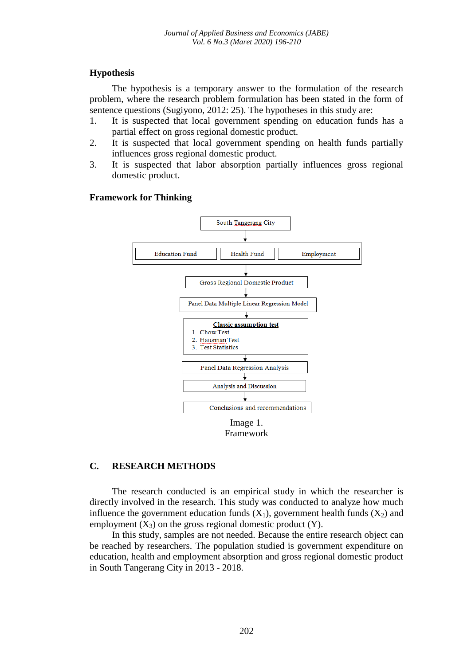# **Hypothesis**

The hypothesis is a temporary answer to the formulation of the research problem, where the research problem formulation has been stated in the form of sentence questions (Sugiyono, 2012: 25). The hypotheses in this study are:

- 1. It is suspected that local government spending on education funds has a partial effect on gross regional domestic product.
- 2. It is suspected that local government spending on health funds partially influences gross regional domestic product.
- 3. It is suspected that labor absorption partially influences gross regional domestic product.



## **Framework for Thinking**

Framework

## **C. RESEARCH METHODS**

The research conducted is an empirical study in which the researcher is directly involved in the research. This study was conducted to analyze how much influence the government education funds  $(X_1)$ , government health funds  $(X_2)$  and employment  $(X_3)$  on the gross regional domestic product  $(Y)$ .

In this study, samples are not needed. Because the entire research object can be reached by researchers. The population studied is government expenditure on education, health and employment absorption and gross regional domestic product in South Tangerang City in 2013 - 2018.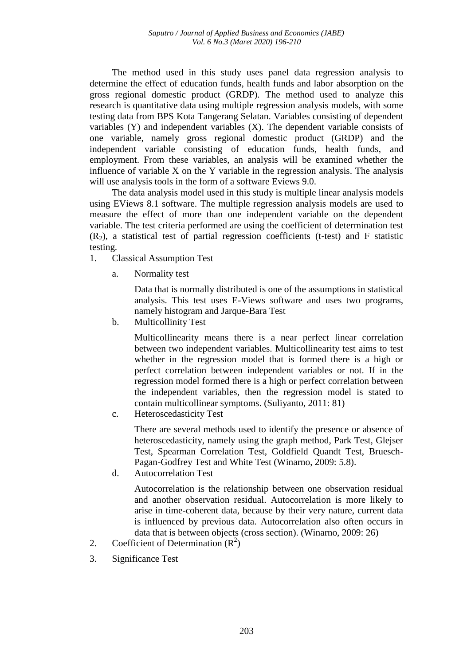The method used in this study uses panel data regression analysis to determine the effect of education funds, health funds and labor absorption on the gross regional domestic product (GRDP). The method used to analyze this research is quantitative data using multiple regression analysis models, with some testing data from BPS Kota Tangerang Selatan. Variables consisting of dependent variables (Y) and independent variables (X). The dependent variable consists of one variable, namely gross regional domestic product (GRDP) and the independent variable consisting of education funds, health funds, and employment. From these variables, an analysis will be examined whether the influence of variable X on the Y variable in the regression analysis. The analysis will use analysis tools in the form of a software Eviews 9.0.

The data analysis model used in this study is multiple linear analysis models using EViews 8.1 software. The multiple regression analysis models are used to measure the effect of more than one independent variable on the dependent variable. The test criteria performed are using the coefficient of determination test  $(R<sub>2</sub>)$ , a statistical test of partial regression coefficients (t-test) and F statistic testing.

- 1. Classical Assumption Test
	- a. Normality test

Data that is normally distributed is one of the assumptions in statistical analysis. This test uses E-Views software and uses two programs, namely histogram and Jarque-Bara Test

b. Multicollinity Test

Multicollinearity means there is a near perfect linear correlation between two independent variables. Multicollinearity test aims to test whether in the regression model that is formed there is a high or perfect correlation between independent variables or not. If in the regression model formed there is a high or perfect correlation between the independent variables, then the regression model is stated to contain multicollinear symptoms. (Suliyanto, 2011: 81)

c. Heteroscedasticity Test

There are several methods used to identify the presence or absence of heteroscedasticity, namely using the graph method, Park Test, Glejser Test, Spearman Correlation Test, Goldfield Quandt Test, Bruesch-Pagan-Godfrey Test and White Test (Winarno, 2009: 5.8).

d. Autocorrelation Test

Autocorrelation is the relationship between one observation residual and another observation residual. Autocorrelation is more likely to arise in time-coherent data, because by their very nature, current data is influenced by previous data. Autocorrelation also often occurs in data that is between objects (cross section). (Winarno, 2009: 26)

- 2. Coefficient of Determination  $(R^2)$
- 3. Significance Test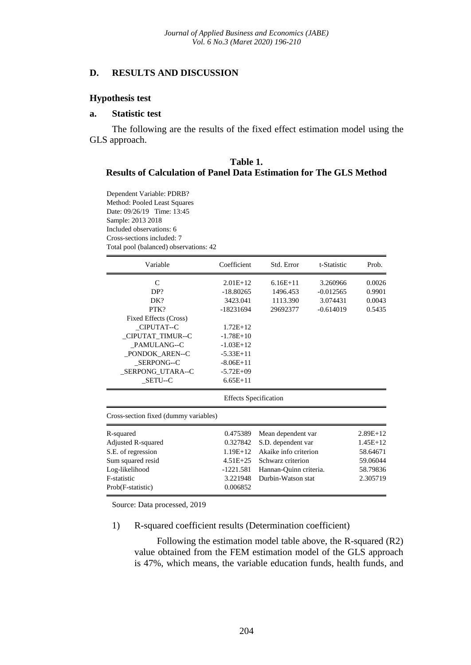#### **D. RESULTS AND DISCUSSION**

#### **Hypothesis test**

#### **a. Statistic test**

The following are the results of the fixed effect estimation model using the GLS approach.

## **Table 1. Results of Calculation of Panel Data Estimation for The GLS Method**

Dependent Variable: PDRB? Method: Pooled Least Squares Date: 09/26/19 Time: 13:45 Sample: 2013 2018 Included observations: 6 Cross-sections included: 7 Total pool (balanced) observations: 42

| Variable                              | Coefficient                  | Std. Error             | t-Statistic | Prob.      |
|---------------------------------------|------------------------------|------------------------|-------------|------------|
| $\mathcal{C}$                         | $2.01E+12$                   | $6.16E+11$             | 3.260966    | 0.0026     |
| DP?                                   | $-18.80265$                  | 1496.453               | $-0.012565$ | 0.9901     |
| DK?                                   | 3423.041                     | 1113.390               | 3.074431    | 0.0043     |
| PTK?                                  | $-18231694$                  | 29692377               | $-0.614019$ | 0.5435     |
| Fixed Effects (Cross)                 |                              |                        |             |            |
| CIPUTAT--C                            | $1.72E+12$                   |                        |             |            |
| CIPUTAT_TIMUR--C                      | $-1.78E+10$                  |                        |             |            |
| PAMULANG--C                           | $-1.03E+12$                  |                        |             |            |
| _PONDOK_AREN--C                       | $-5.33E+11$                  |                        |             |            |
| SERPONG--C                            | $-8.06E+11$                  |                        |             |            |
| _SERPONG_UTARA--C                     | $-5.72E+09$                  |                        |             |            |
| SETU--C                               | $6.65E+11$                   |                        |             |            |
|                                       | <b>Effects Specification</b> |                        |             |            |
| Cross-section fixed (dummy variables) |                              |                        |             |            |
| R-squared                             | 0.475389                     | Mean dependent var     |             | $2.89E+12$ |
| Adjusted R-squared                    | 0.327842                     | S.D. dependent var     |             | $1.45E+12$ |
| S.E. of regression                    | $1.19E+12$                   | Akaike info criterion  |             | 58.64671   |
| Sum squared resid                     | $4.51E + 25$                 | Schwarz criterion      |             | 59.06044   |
| Log-likelihood                        | $-1221.581$                  | Hannan-Quinn criteria. |             | 58.79836   |
| F-statistic                           | 3.221948                     | Durbin-Watson stat     |             | 2.305719   |
| Prob(F-statistic)                     | 0.006852                     |                        |             |            |

Source: Data processed, 2019

1) R-squared coefficient results (Determination coefficient)

Following the estimation model table above, the R-squared (R2) value obtained from the FEM estimation model of the GLS approach is 47%, which means, the variable education funds, health funds, and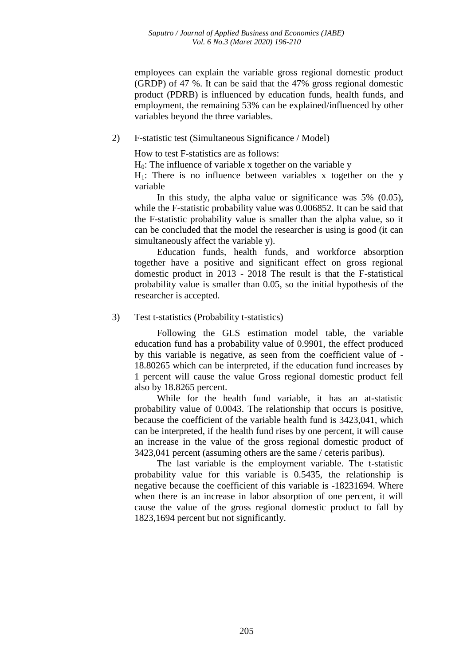employees can explain the variable gross regional domestic product (GRDP) of 47 %. It can be said that the 47% gross regional domestic product (PDRB) is influenced by education funds, health funds, and employment, the remaining 53% can be explained/influenced by other variables beyond the three variables.

## 2) F-statistic test (Simultaneous Significance / Model)

How to test F-statistics are as follows:

 $H<sub>0</sub>$ : The influence of variable x together on the variable y

 $H_1$ : There is no influence between variables x together on the y variable

In this study, the alpha value or significance was 5% (0.05), while the F-statistic probability value was 0.006852. It can be said that the F-statistic probability value is smaller than the alpha value, so it can be concluded that the model the researcher is using is good (it can simultaneously affect the variable y).

Education funds, health funds, and workforce absorption together have a positive and significant effect on gross regional domestic product in 2013 - 2018 The result is that the F-statistical probability value is smaller than 0.05, so the initial hypothesis of the researcher is accepted.

## 3) Test t-statistics (Probability t-statistics)

Following the GLS estimation model table, the variable education fund has a probability value of 0.9901, the effect produced by this variable is negative, as seen from the coefficient value of - 18.80265 which can be interpreted, if the education fund increases by 1 percent will cause the value Gross regional domestic product fell also by 18.8265 percent.

While for the health fund variable, it has an at-statistic probability value of 0.0043. The relationship that occurs is positive, because the coefficient of the variable health fund is 3423,041, which can be interpreted, if the health fund rises by one percent, it will cause an increase in the value of the gross regional domestic product of 3423,041 percent (assuming others are the same / ceteris paribus).

The last variable is the employment variable. The t-statistic probability value for this variable is 0.5435, the relationship is negative because the coefficient of this variable is -18231694. Where when there is an increase in labor absorption of one percent, it will cause the value of the gross regional domestic product to fall by 1823,1694 percent but not significantly.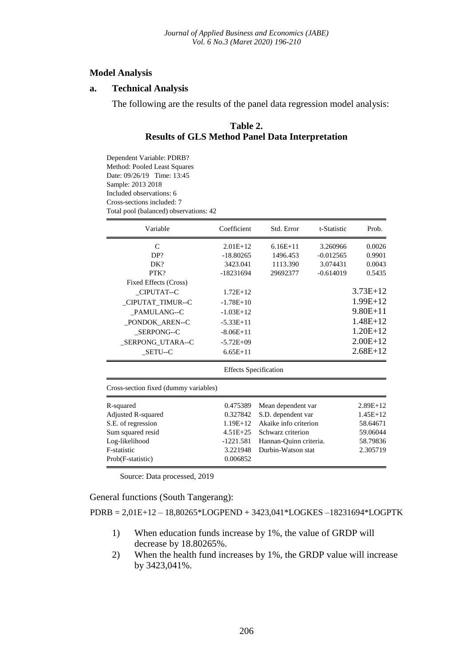#### **Model Analysis**

#### **a. Technical Analysis**

The following are the results of the panel data regression model analysis:

## **Table 2. Results of GLS Method Panel Data Interpretation**

Dependent Variable: PDRB? Method: Pooled Least Squares Date: 09/26/19 Time: 13:45 Sample: 2013 2018 Included observations: 6 Cross-sections included: 7 Total pool (balanced) observations: 42

| Variable                              | Coefficient                  | Std. Error             | t-Statistic | Prob.        |
|---------------------------------------|------------------------------|------------------------|-------------|--------------|
| $\mathcal{C}$                         | $2.01E+12$                   | $6.16E+11$             | 3.260966    | 0.0026       |
| DP?                                   | $-18.80265$                  | 1496.453               | $-0.012565$ | 0.9901       |
| DK?                                   | 3423.041                     | 1113.390               | 3.074431    | 0.0043       |
| PTK?                                  | -18231694                    | 29692377               | $-0.614019$ | 0.5435       |
| Fixed Effects (Cross)                 |                              |                        |             |              |
| CIPUTAT--C                            | $1.72E+12$                   |                        |             | $3.73E+12$   |
| _CIPUTAT_TIMUR--C                     | $-1.78E+10$                  |                        |             | $1.99E+12$   |
| PAMULANG--C                           | $-1.03E+12$                  |                        |             | $9.80E + 11$ |
| PONDOK AREN--C                        | $-5.33E+11$                  |                        |             | $1.48E+12$   |
| SERPONG--C                            | $-8.06E+11$                  |                        |             | $1.20E+12$   |
| _SERPONG_UTARA--C                     | $-5.72E+09$                  |                        |             | $2.00E+12$   |
| SETU--C                               | $6.65E+11$                   |                        |             | $2.68E+12$   |
|                                       | <b>Effects Specification</b> |                        |             |              |
| Cross-section fixed (dummy variables) |                              |                        |             |              |
| R-squared                             | 0.475389                     | Mean dependent var     |             | $2.89E+12$   |
| Adjusted R-squared                    | 0.327842                     | S.D. dependent var     |             | $1.45E+12$   |
| S.E. of regression                    | $1.19E+12$                   | Akaike info criterion  |             | 58.64671     |
| Sum squared resid                     | $4.51E + 25$                 | Schwarz criterion      |             | 59.06044     |
| Log-likelihood                        | $-1221.581$                  | Hannan-Quinn criteria. |             | 58.79836     |
| F-statistic                           | 3.221948                     | Durbin-Watson stat     |             | 2.305719     |
| Prob(F-statistic)                     | 0.006852                     |                        |             |              |

Source: Data processed, 2019

General functions (South Tangerang):

PDRB = 2,01E+12 – 18,80265\*LOGPEND + 3423,041\*LOGKES –18231694\*LOGPTK

- 1) When education funds increase by 1%, the value of GRDP will decrease by 18.80265%.
- 2) When the health fund increases by 1%, the GRDP value will increase by 3423,041%.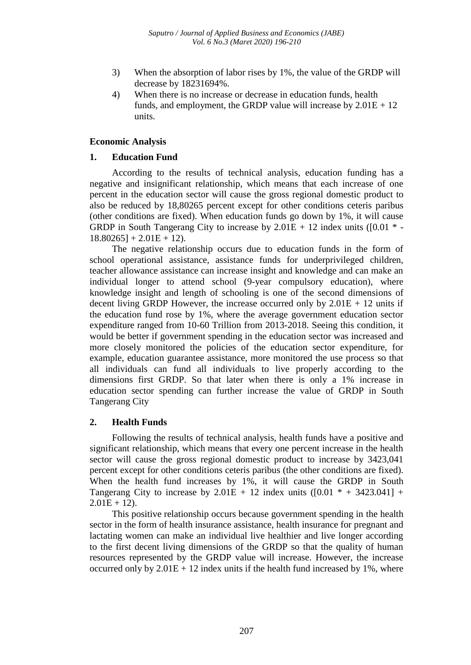- 3) When the absorption of labor rises by 1%, the value of the GRDP will decrease by 18231694%.
- 4) When there is no increase or decrease in education funds, health funds, and employment, the GRDP value will increase by  $2.01E + 12$ units.

## **Economic Analysis**

## **1. Education Fund**

According to the results of technical analysis, education funding has a negative and insignificant relationship, which means that each increase of one percent in the education sector will cause the gross regional domestic product to also be reduced by 18,80265 percent except for other conditions ceteris paribus (other conditions are fixed). When education funds go down by 1%, it will cause GRDP in South Tangerang City to increase by  $2.01E + 12$  index units ([0.01  $*$  - $18.80265$ ] + 2.01E + 12).

The negative relationship occurs due to education funds in the form of school operational assistance, assistance funds for underprivileged children, teacher allowance assistance can increase insight and knowledge and can make an individual longer to attend school (9-year compulsory education), where knowledge insight and length of schooling is one of the second dimensions of decent living GRDP However, the increase occurred only by  $2.01E + 12$  units if the education fund rose by 1%, where the average government education sector expenditure ranged from 10-60 Trillion from 2013-2018. Seeing this condition, it would be better if government spending in the education sector was increased and more closely monitored the policies of the education sector expenditure, for example, education guarantee assistance, more monitored the use process so that all individuals can fund all individuals to live properly according to the dimensions first GRDP. So that later when there is only a 1% increase in education sector spending can further increase the value of GRDP in South Tangerang City

## **2. Health Funds**

Following the results of technical analysis, health funds have a positive and significant relationship, which means that every one percent increase in the health sector will cause the gross regional domestic product to increase by 3423,041 percent except for other conditions ceteris paribus (the other conditions are fixed). When the health fund increases by 1%, it will cause the GRDP in South Tangerang City to increase by  $2.01E + 12$  index units ([0.01  $* + 3423.041$ ] +  $2.01E + 12$ ).

This positive relationship occurs because government spending in the health sector in the form of health insurance assistance, health insurance for pregnant and lactating women can make an individual live healthier and live longer according to the first decent living dimensions of the GRDP so that the quality of human resources represented by the GRDP value will increase. However, the increase occurred only by  $2.01E + 12$  index units if the health fund increased by 1%, where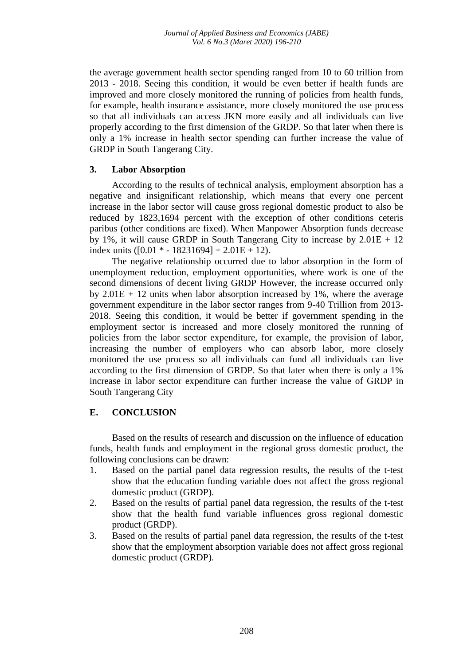the average government health sector spending ranged from 10 to 60 trillion from 2013 - 2018. Seeing this condition, it would be even better if health funds are improved and more closely monitored the running of policies from health funds, for example, health insurance assistance, more closely monitored the use process so that all individuals can access JKN more easily and all individuals can live properly according to the first dimension of the GRDP. So that later when there is only a 1% increase in health sector spending can further increase the value of GRDP in South Tangerang City.

## **3. Labor Absorption**

According to the results of technical analysis, employment absorption has a negative and insignificant relationship, which means that every one percent increase in the labor sector will cause gross regional domestic product to also be reduced by 1823,1694 percent with the exception of other conditions ceteris paribus (other conditions are fixed). When Manpower Absorption funds decrease by 1%, it will cause GRDP in South Tangerang City to increase by  $2.01E + 12$ index units  $([0.01 * - 18231694] + 2.01E + 12)$ .

The negative relationship occurred due to labor absorption in the form of unemployment reduction, employment opportunities, where work is one of the second dimensions of decent living GRDP However, the increase occurred only by  $2.01E + 12$  units when labor absorption increased by 1%, where the average government expenditure in the labor sector ranges from 9-40 Trillion from 2013- 2018. Seeing this condition, it would be better if government spending in the employment sector is increased and more closely monitored the running of policies from the labor sector expenditure, for example, the provision of labor, increasing the number of employers who can absorb labor, more closely monitored the use process so all individuals can fund all individuals can live according to the first dimension of GRDP. So that later when there is only a 1% increase in labor sector expenditure can further increase the value of GRDP in South Tangerang City

## **E. CONCLUSION**

Based on the results of research and discussion on the influence of education funds, health funds and employment in the regional gross domestic product, the following conclusions can be drawn:

- 1. Based on the partial panel data regression results, the results of the t-test show that the education funding variable does not affect the gross regional domestic product (GRDP).
- 2. Based on the results of partial panel data regression, the results of the t-test show that the health fund variable influences gross regional domestic product (GRDP).
- 3. Based on the results of partial panel data regression, the results of the t-test show that the employment absorption variable does not affect gross regional domestic product (GRDP).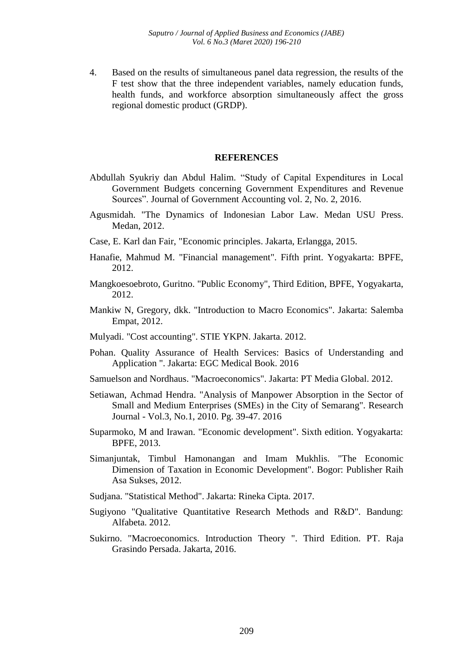4. Based on the results of simultaneous panel data regression, the results of the F test show that the three independent variables, namely education funds, health funds, and workforce absorption simultaneously affect the gross regional domestic product (GRDP).

#### **REFERENCES**

- Abdullah Syukriy dan Abdul Halim. "Study of Capital Expenditures in Local Government Budgets concerning Government Expenditures and Revenue Sources". Journal of Government Accounting vol. 2, No. 2, 2016.
- Agusmidah. "The Dynamics of Indonesian Labor Law. Medan USU Press. Medan, 2012.
- Case, E. Karl dan Fair, "Economic principles. Jakarta, Erlangga, 2015.
- Hanafie, Mahmud M. "Financial management". Fifth print. Yogyakarta: BPFE, 2012.
- Mangkoesoebroto, Guritno. "Public Economy", Third Edition, BPFE, Yogyakarta, 2012.
- Mankiw N, Gregory, dkk. "Introduction to Macro Economics". Jakarta: Salemba Empat, 2012.
- Mulyadi. "Cost accounting". STIE YKPN. Jakarta. 2012.
- Pohan. Quality Assurance of Health Services: Basics of Understanding and Application ". Jakarta: EGC Medical Book. 2016
- Samuelson and Nordhaus. "Macroeconomics". Jakarta: PT Media Global. 2012.
- Setiawan, Achmad Hendra. "Analysis of Manpower Absorption in the Sector of Small and Medium Enterprises (SMEs) in the City of Semarang". Research Journal - Vol.3, No.1, 2010. Pg. 39-47. 2016
- Suparmoko, M and Irawan. "Economic development". Sixth edition. Yogyakarta: BPFE, 2013.
- Simanjuntak, Timbul Hamonangan and Imam Mukhlis. "The Economic Dimension of Taxation in Economic Development". Bogor: Publisher Raih Asa Sukses, 2012.
- Sudjana. "Statistical Method". Jakarta: Rineka Cipta. 2017.
- Sugiyono "Qualitative Quantitative Research Methods and R&D". Bandung: Alfabeta. 2012.
- Sukirno. "Macroeconomics. Introduction Theory ". Third Edition. PT. Raja Grasindo Persada. Jakarta, 2016.